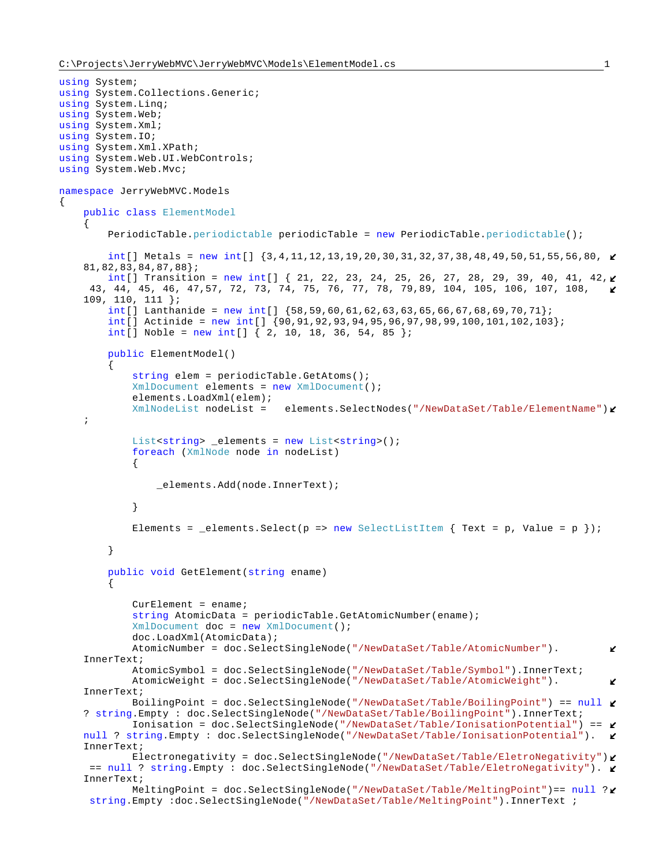{

```
using System;
using System.Collections.Generic;
using System.Linq;
using System.Web;
using System.Xml;
using System.IO;
using System.Xml.XPath;
using System.Web.UI.WebControls;
using System.Web.Mvc;
namespace JerryWebMVC.Models
     public class ElementModel
\left\{\begin{array}{ccc} \end{array}\right\}PeriodicTable.periodictable periodicTable = new PeriodicTable.periodictable();
         int[] Metals = new int[] {3,4,11,12,13,19,20,30,31,32,37,38,48,49,50,51,55,56,80,
    81,82,83,84,87,88};
        int[] Transition = new int[] { 21, 22, 23, 24, 25, 26, 27, 28, 29, 39, 40, 41, 42, \ell43, 44, 45, 46, 47,57, 72, 73, 74, 75, 76, 77, 78, 79,89, 104, 105, 106, 107, 108, 
    109, 110, 111 };
        int[] Lanthanide = new int[] \{58, 59, 60, 61, 62, 63, 63, 65, 66, 67, 68, 69, 70, 71\};
         int[] Actinide = new int[] {90,91,92,93,94,95,96,97,98,99,100,101,102,103};
        int[] Noble = new int[] \{2, 10, 18, 36, 54, 85\};
         public ElementModel()
\{ string elem = periodicTable.GetAtoms();
             XmlDocument elements = new XmlDocument();
             elements.LoadXml(elem);
             XmlNodeList nodeList = elements.SelectNodes("/NewDataSet/Table/ElementName")
    ;
            List<string> _elements = new List<string>();
             foreach (XmlNode node in nodeList)
\{ _elements.Add(node.InnerText);
 }
            Elements = _elements.Select(p => new SelectListItem { Text = p, Value = p });
         }
         public void GetElement(string ename)
\{Current =r string AtomicData = periodicTable.GetAtomicNumber(ename);
             XmlDocument doc = new XmlDocument();
             doc.LoadXml(AtomicData);
             AtomicNumber = doc.SelectSingleNode("/NewDataSet/Table/AtomicNumber").
                                                                                            K
    InnerText;
             AtomicSymbol = doc.SelectSingleNode("/NewDataSet/Table/Symbol").InnerText;
             AtomicWeight = doc.SelectSingleNode("/NewDataSet/Table/AtomicWeight").
                                                                                            K.
    InnerText;
             BoilingPoint = doc.SelectSingleNode("/NewDataSet/Table/BoilingPoint") == null
    ? string.Empty : doc.SelectSingleNode("/NewDataSet/Table/BoilingPoint").InnerText;
             Ionisation = doc.SelectSingleNode("/NewDataSet/Table/IonisationPotential") == 
    null ? string.Empty : doc.SelectSingleNode("/NewDataSet/Table/IonisationPotential"). \blacktrianglerightInnerText;
             Electronegativity = doc.SelectSingleNode("/NewDataSet/Table/EletroNegativity")
     == null ? string.Empty : doc.SelectSingleNode("/NewDataSet/Table/EletroNegativity").
    InnerText;
             MeltingPoint = doc.SelectSingleNode("/NewDataSet/Table/MeltingPoint")== null ?
     string.Empty :doc.SelectSingleNode("/NewDataSet/Table/MeltingPoint").InnerText ;
```